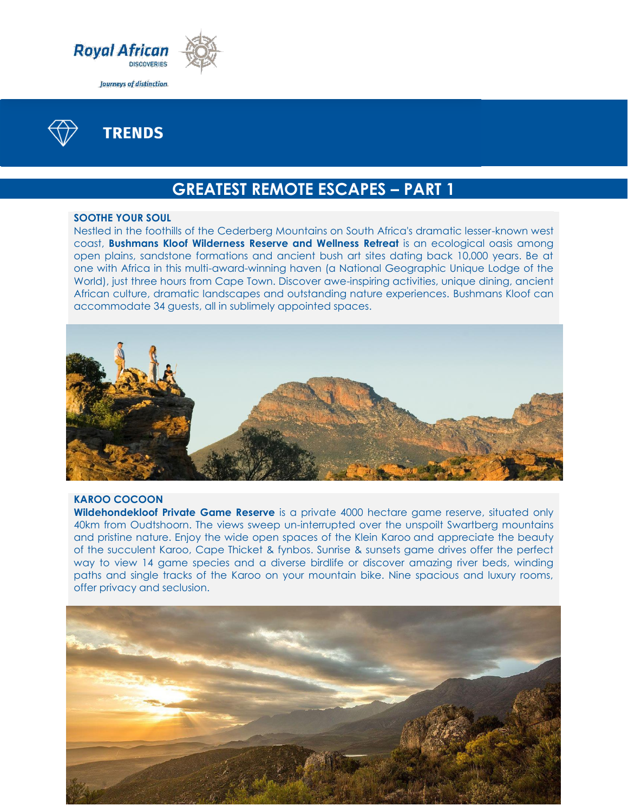



**TRENDS** 

# **GREATEST REMOTE ESCAPES – PART 1**

### **SOOTHE YOUR SOUL**

Nestled in the foothills of the Cederberg Mountains on South Africa's dramatic lesser-known west coast, **Bushmans Kloof Wilderness Reserve and Wellness Retreat** is an ecological oasis among open plains, sandstone formations and ancient bush art sites dating back 10,000 years. Be at one with Africa in this multi-award-winning haven (a National Geographic Unique Lodge of the World), just three hours from Cape Town. Discover awe-inspiring activities, unique dining, ancient African culture, dramatic landscapes and outstanding nature experiences. Bushmans Kloof can accommodate 34 guests, all in sublimely appointed spaces.



## **KAROO COCOON**

**Wildehondekloof Private Game Reserve** is a private 4000 hectare game reserve, situated only 40km from Oudtshoorn. The views sweep un-interrupted over the unspoilt Swartberg mountains and pristine nature. Enjoy the wide open spaces of the Klein Karoo and appreciate the beauty of the succulent Karoo, Cape Thicket & fynbos. Sunrise & sunsets game drives offer the perfect way to view 14 game species and a diverse birdlife or discover amazing river beds, winding paths and single tracks of the Karoo on your mountain bike. Nine spacious and luxury rooms, offer privacy and seclusion.

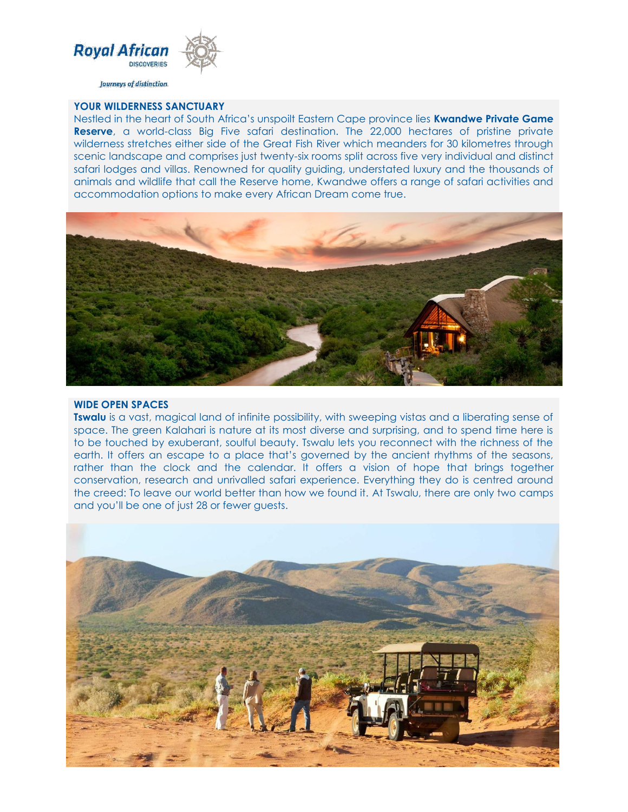

Journeys of distinction

#### **YOUR WILDERNESS SANCTUARY**

Nestled in the heart of South Africa's unspoilt Eastern Cape province lies **Kwandwe Private Game Reserve**, a world-class Big Five safari destination. The 22,000 hectares of pristine private wilderness stretches either side of the Great Fish River which meanders for 30 kilometres through scenic landscape and comprises just twenty-six rooms split across five very individual and distinct safari lodges and villas. Renowned for quality guiding, understated luxury and the thousands of animals and wildlife that call the Reserve home, Kwandwe offers a range of safari activities and accommodation options to make every African Dream come true.



#### **WIDE OPEN SPACES**

**Tswalu** is a vast, magical land of infinite possibility, with sweeping vistas and a liberating sense of space. The green Kalahari is nature at its most diverse and surprising, and to spend time here is to be touched by exuberant, soulful beauty. Tswalu lets you reconnect with the richness of the earth. It offers an escape to a place that's governed by the ancient rhythms of the seasons, rather than the clock and the calendar. It offers a vision of hope that brings together conservation, research and unrivalled safari experience. Everything they do is centred around the creed: To leave our world better than how we found it. At Tswalu, there are only two camps and you'll be one of just 28 or fewer guests.